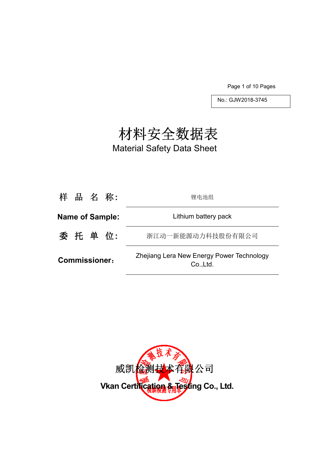Page 1 of 10 Pages

No.: GJW2018-3745

# 材料安全数据表

Material Safety Data Sheet

| 样 品 名 称:               | 锂电池组                                                   |
|------------------------|--------------------------------------------------------|
| <b>Name of Sample:</b> | Lithium battery pack                                   |
| 委 托 单 位:               | 浙江动一新能源动力科技股份有限公司                                      |
| <b>Commissioner:</b>   | Zhejiang Lera New Energy Power Technology<br>Co., Ltd. |

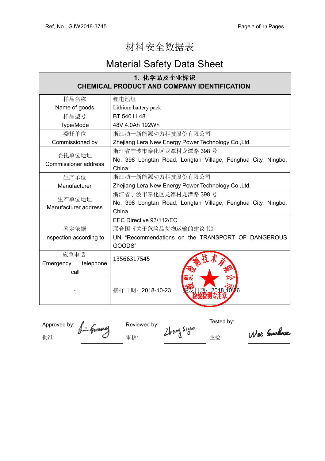## 材料安全数据表

## Material Safety Data Sheet

| 1. 化学品及企业标识                           |                                                                         |  |
|---------------------------------------|-------------------------------------------------------------------------|--|
|                                       | <b>CHEMICAL PRODUCT AND COMPANY IDENTIFICATION</b>                      |  |
| 样品名称                                  | 锂电池组                                                                    |  |
| Name of goods                         | Lithium battery pack                                                    |  |
| 样品型号                                  | BT 540 Li 48                                                            |  |
| Type/Mode                             | 48V 4.0Ah 192Wh                                                         |  |
| 委托单位                                  | 浙江动一新能源动力科技股份有限公司                                                       |  |
| Commissioned by                       | Zhejiang Lera New Energy Power Technology Co., Ltd.                     |  |
| 委托单位地址<br><b>Commissioner address</b> | 浙江省宁波市奉化区龙潭村龙潭路 398号                                                    |  |
|                                       | No. 398 Longtan Road, Longtan Village, Fenghua City, Ningbo,            |  |
|                                       | China                                                                   |  |
| 生产单位                                  | 浙江动一新能源动力科技股份有限公司                                                       |  |
| Manufacturer                          | Zhejiang Lera New Energy Power Technology Co., Ltd.                     |  |
| 生产单位地址                                | 浙江省宁波市奉化区龙潭村龙潭路 398号                                                    |  |
| Manufacturer address                  | No. 398 Longtan Road, Longtan Village, Fenghua City, Ningbo,            |  |
|                                       | China                                                                   |  |
|                                       | EEC Directive 93/112/EC                                                 |  |
| 鉴定依据                                  | 联合国《关于危险品货物运输的建议书》<br>UN "Recommendations on the TRANSPORT OF DANGEROUS |  |
| Inspection according to               |                                                                         |  |
|                                       | GOODS"                                                                  |  |
| 应急电话                                  | 13566317545                                                             |  |
| telephone<br>Emergency                |                                                                         |  |
| call                                  |                                                                         |  |
|                                       | an a<br>接样日期: 2018-10-23<br>1期: 2018.10.26                              |  |
|                                       |                                                                         |  |

Approved by:  $\int_{\mathbb{R}}$   $\int_{\mathbb{R}}$  Reviewed by:  $\int_{\mathbb{R}}$  Tested by: 批准: インタンタンタンタンタン 宇 はんこう こうしょう はんこうしょう せいじょう まんこうしゃ エンジョン こうしゅうしゃ こうしゅうしゃ はんこうしゃ こうしゃ こうしゃ こうしゃ こうしゃ おんこうしゃ

Wei Guchua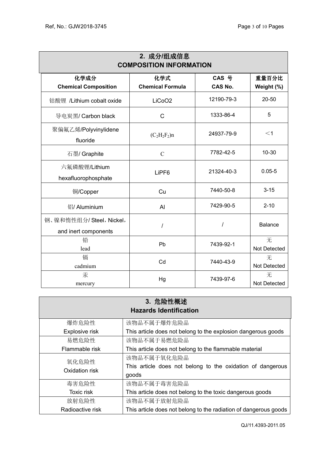| 2. 成分/组成信息                                      |                         |                |                          |  |  |
|-------------------------------------------------|-------------------------|----------------|--------------------------|--|--|
| <b>COMPOSITION INFORMATION</b>                  |                         |                |                          |  |  |
| 化学成分                                            | 化学式                     | CAS 号          | 重量百分比                    |  |  |
| <b>Chemical Composition</b>                     | <b>Chemical Formula</b> | <b>CAS No.</b> | Weight (%)               |  |  |
| 钴酸锂 /Lithium cobalt oxide                       | LiCoO <sub>2</sub>      | 12190-79-3     | 20-50                    |  |  |
| 导电炭黑/ Carbon black                              | $\mathsf{C}$            | 1333-86-4      | 5                        |  |  |
| 聚偏氟乙烯/Polyvinylidene<br>fluoride                | $(C_2H_2F_2)n$          | 24937-79-9     | $<$ 1                    |  |  |
| 石墨/ Graphite                                    | $\mathcal{C}$           | 7782-42-5      | $10 - 30$                |  |  |
| 六氟磷酸锂/Lithium<br>hexafluorophosphate            | LiPF <sub>6</sub>       | 21324-40-3     | $0.05 - 5$               |  |  |
| 铜/Copper                                        | Cu                      | 7440-50-8      | $3 - 15$                 |  |  |
| 铝/ Aluminium                                    | AI                      | 7429-90-5      | $2 - 10$                 |  |  |
| 钢、镍和惰性组分/Steel, Nickel,<br>and inert components | $\prime$                | $\prime$       | <b>Balance</b>           |  |  |
| 铅<br>lead                                       | Pb                      | 7439-92-1      | 无<br><b>Not Detected</b> |  |  |
| 镉<br>cadmium                                    | Cd                      | 7440-43-9      | 无<br>Not Detected        |  |  |
| 汞<br>mercury                                    | Hg                      | 7439-97-6      | 无<br>Not Detected        |  |  |

| 3. 危险性概述<br><b>Hazards Identification</b> |                                                                  |  |  |  |
|-------------------------------------------|------------------------------------------------------------------|--|--|--|
| 爆炸危险性                                     | 该物品不属于爆炸危险品                                                      |  |  |  |
| Explosive risk                            | This article does not belong to the explosion dangerous goods    |  |  |  |
| 易燃危险性                                     | 该物品不属于易燃危险品                                                      |  |  |  |
| Flammable risk                            | This article does not belong to the flammable material           |  |  |  |
| 氧化危险性<br>Oxidation risk                   | 该物品不属于氧化危险品                                                      |  |  |  |
|                                           | This article does not belong to the oxidation of dangerous       |  |  |  |
|                                           | goods                                                            |  |  |  |
| 毒害危险性                                     | 该物品不属于毒害危险品                                                      |  |  |  |
| Toxic risk                                | This article does not belong to the toxic dangerous goods        |  |  |  |
| 放射危险性                                     | 该物品不属于放射危险品                                                      |  |  |  |
| Radioactive risk                          | This article does not belong to the radiation of dangerous goods |  |  |  |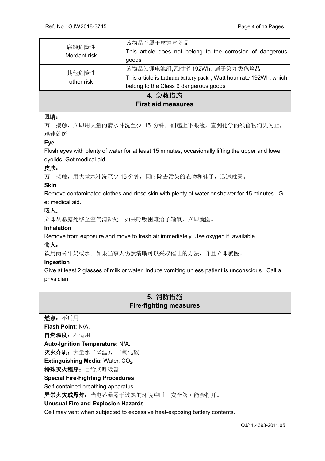| 腐蚀危险性<br>Mordant risk                | 该物品不属于腐蚀危险品<br>This article does not belong to the corrosion of dangerous<br>goods                                                         |  |
|--------------------------------------|--------------------------------------------------------------------------------------------------------------------------------------------|--|
| 其他危险性<br>other risk                  | 该物品为锂电池组,瓦时率 192Wh, 属于第九类危险品<br>This article is Lithium battery pack, Watt hour rate 192Wh, which<br>belong to the Class 9 dangerous goods |  |
| 4. 急救措施<br><b>First aid measures</b> |                                                                                                                                            |  |

## 眼睛:

万一接触,立即用大量的清水冲洗至少 15 分钟,翻起上下眼睑,直到化学的残留物消失为止, 迅速就医。

## **Eye**

Flush eyes with plenty of water for at least 15 minutes, occasionally lifting the upper and lower eyelids. Get medical aid.

## 皮肤:

万一接触,用大量水冲洗至少15分钟,同时除去污染的衣物和鞋子,迅速就医。

#### **Skin**

Remove contaminated clothes and rinse skin with plenty of water or shower for 15 minutes. G et medical aid.

## 吸入:

立即从暴露处移至空气清新处,如果呼吸困难给予输氧,立即就医。

## **Inhalation**

Remove from exposure and move to fresh air immediately. Use oxygen if available.

## 食入:

饮用两杯牛奶或水。如果当事人仍然清晰可以采取催吐的方法,并且立即就医。

#### **Ingestion**

Give at least 2 glasses of milk or water. Induce vomiting unless patient is unconscious. Call a physician

## **5.** 消防措施 **Fire-fighting measures**

燃点:不适用 **Flash Point:** N/A. 自燃温度:不适用 **Auto-Ignition Temperature:** N/A. 灭火介质: 大量水(降温), 二氧化碳 **Extinguishing Media: Water, CO<sub>2</sub>.** 特殊灭火程序: 自给式呼吸器 **Special Fire-Fighting Procedures**  Self-contained breathing apparatus. 异常火灾或爆炸: 当电芯暴露于过热的环境中时, 安全阀可能会打开。 **Unusual Fire and Explosion Hazards**  Cell may vent when subjected to excessive heat-exposing battery contents.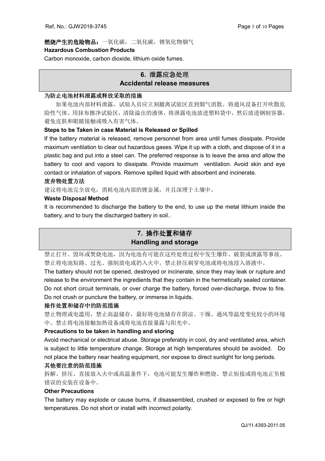## 燃烧产生的危险物品:一氧化碳,二氧化碳,锂氧化物烟气 **Hazardous Combustion Products**

Carbon monoxide, carbon dioxide, lithium oxide fumes.

## **6.** 泄露应急处理 **Accidental release measures**

## 为防止电池材料泄露或释放采取的措施

如果电池内部材料泄露,试验人员应立刻撤离试验区直到烟气消散。将通风设备打开吹散危 险性气体。用抹布擦净试验区,清除溢出的液体,将泄露电池放进塑料袋中,然后放进钢制容器。 避免皮肤和眼睛接触或吸入有害气体。

## **Steps to be Taken in case Material is Released or Spilled**

If the battery material is released, remove personnel from area until fumes dissipate. Provide maximum ventilation to clear out hazardous gases. Wipe it up with a cloth, and dispose of it in a plastic bag and put into a steel can. The preferred response is to leave the area and allow the battery to cool and vapors to dissipate. Provide maximum ventilation. Avoid skin and eye contact or inhalation of vapors. Remove spilled liquid with absorbent and incinerate.

## 废弃物处置方法

建议将电池完全放电,消耗电池内部的锂金属,并且深埋于土壤中。

## **Waste Disposal Method**

It is recommended to discharge the battery to the end, to use up the metal lithium inside the battery, and to bury the discharged battery in soil..

## **7.** 操作处置和储存 **Handling and storage**

禁止打开、毁坏或焚烧电池,因为电池有可能在这些处理过程中发生爆炸、破裂或泄露等事故。 禁止将电池短路、过充、强制放电或扔入火中。禁止挤压刺穿电池或将电池浸入溶液中。

The battery should not be opened, destroyed or incinerate, since they may leak or rupture and release to the environment the ingredients that they contain in the hermetically sealed container. Do not short circuit terminals, or over charge the battery, forced over-discharge, throw to fire. Do not crush or puncture the battery, or immerse in liquids.

## 操作处置和储存中的防范措施

禁止物理或电滥用,禁止高温储存,最好将电池储存在阴凉、干燥、通风等温度变化较小的环境 中。禁止将电池接触加热设备或将电池直接暴露与阳光中。

## **Precautions to be taken in handling and storing**

Avoid mechanical or electrical abuse. Storage preferably in cool, dry and ventilated area, which is subject to little temperature change. Storage at high temperatures should be avoided. Do not place the battery near heating equipment, nor expose to direct sunlight for long periods.

## 其他要注意的防范措施

拆解、挤压、直接放入火中或高温条件下,电池可能发生爆炸和燃烧。禁止短接或将电池正负极 错误的安装在设备中。

## **Other Precautions**

The battery may explode or cause burns, if disassembled, crushed or exposed to fire or high temperatures. Do not short or install with incorrect polarity.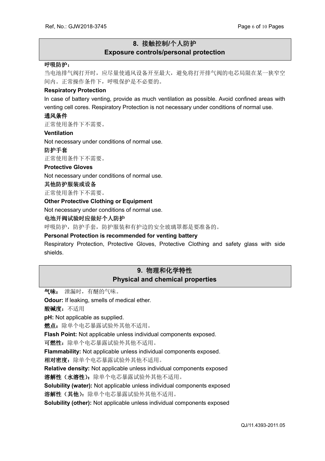## **8.** 接触控制**/**个人防护 **Exposure controls/personal protection**

#### 呼吸防护:

当电池排气阀打开时,应尽量使通风设备开至最大,避免将打开排气阀的电芯局限在某一狭窄空 间内。正常操作条件下,呼吸保护是不必要的。

#### **Respiratory Protection**

In case of battery venting, provide as much ventilation as possible. Avoid confined areas with venting cell cores. Respiratory Protection is not necessary under conditions of normal use.

#### 通风条件

正常使用条件下不需要。

#### **Ventilation**

Not necessary under conditions of normal use.

#### 防护手套

正常使用条件下不需要。

#### **Protective Gloves**

Not necessary under conditions of normal use.

#### 其他防护服装或设备

正常使用条件下不需要。

#### **Other Protective Clothing or Equipment**

Not necessary under conditions of normal use.

#### 电池开阀试验时应做好个人防护

呼吸防护,防护手套,防护服装和有护边的安全玻璃罩都是要准备的。

#### **Personal Protection is recommended for venting battery**

Respiratory Protection, Protective Gloves, Protective Clothing and safety glass with side shields.

## **9.** 物理和化学特性 **Physical and chemical properties**

气味: 泄漏时,有醚的气味。

**Odour:** If leaking, smells of medical ether.

酸碱度:不适用

**pH:** Not applicable as supplied.

燃点: 除单个电芯暴露试验外其他不适用。

**Flash Point:** Not applicable unless individual components exposed.

可燃性: 除单个电芯暴露试验外其他不适用。

**Flammability:** Not applicable unless individual components exposed.

相对密度:除单个电芯暴露试验外其他不适用。

**Relative density:** Not applicable unless individual components exposed

溶解性(水溶性):除单个电芯暴露试验外其他不适用。

**Solubility (water):** Not applicable unless individual components exposed

溶解性(其他):除单个电芯暴露试验外其他不适用。

**Solubility (other):** Not applicable unless individual components exposed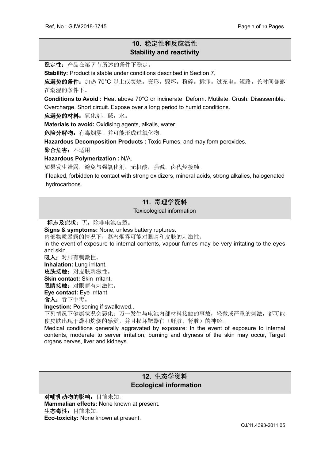## **10.** 稳定性和反应活性 **Stability and reactivity**

稳定性:产品在第 7 节所述的条件下稳定。

**Stability:** Product is stable under conditions described in Section 7.

应避免的条件:加热 70°C 以上或焚烧。变形。毁坏。粉碎。拆卸。过充电。短路。长时间暴露 在潮湿的条件下。

**Conditions to Avoid :** Heat above 70°C or incinerate. Deform. Mutilate. Crush. Disassemble. Overcharge. Short circuit. Expose over a long period to humid conditions.

应避免的材料:氧化剂,碱,水。

**Materials to avoid:** Oxidising agents, alkalis, water.

危险分解物:有毒烟雾,并可能形成过氧化物。

**Hazardous Decomposition Products :** Toxic Fumes, and may form peroxides.

聚合危害:不适用

**Hazardous Polymerization :** N/A.

如果发生泄露,避免与强氧化剂,无机酸,强碱,卤代烃接触。

If leaked, forbidden to contact with strong oxidizers, mineral acids, strong alkalies, halogenated hydrocarbons.

## **11.** 毒理学资料

Toxicological information

标志及症状: 无, 除非电池破裂。

**Signs & symptoms:** None, unless battery ruptures.

内部物质暴露的情况下,蒸汽烟雾可能对眼睛和皮肤的刺激性。

In the event of exposure to internal contents, vapour fumes may be very irritating to the eyes and skin.

吸入: 对肺有刺激性。

**Inhalation:** Lung irritant.

皮肤接触: 对皮肤刺激性。 **Skin contact:** Skin irritant.

眼睛接触: 对眼睛有刺激性。

**Eye contact:** Eye irritant

食入:吞下中毒。

**Ingestion:** Poisoning if swallowed..

下列情况下健康状况会恶化:万一发生与电池内部材料接触的事故,轻微或严重的刺激,都可能 使皮肤出现干燥和灼烧的感觉,并且损坏靶器官(肝脏,肾脏)的神经。

Medical conditions generally aggravated by exposure: In the event of exposure to internal contents, moderate to server irritation, burning and dryness of the skin may occur, Target organs nerves, liver and kidneys.

## **12.** 生态学资料  **Ecological information**

对哺乳动物的影响:目前未知。 **Mammalian effects:** None known at present. 生态毒性:目前未知。 **Eco-toxicity:** None known at present.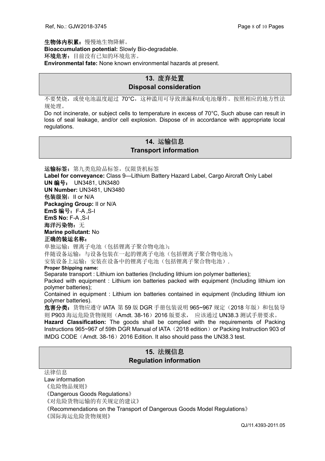生物体内积累:慢慢地生物降解。 **Bioaccumulation potential:** Slowly Bio-degradable. 环境危害: 目前没有已知的环境危害。 **Environmental fate:** None known environmental hazards at present.

## **13.** 废弃处置 **Disposal consideration**

不要焚烧,或使电池温度超过 70°C,这种滥用可导致泄漏和/或电池爆炸。按照相应的地方性法 规处理。

Do not incinerate, or subject cells to temperature in excess of 70°C, Such abuse can result in loss of seal leakage, and/or cell explosion. Dispose of in accordance with appropriate local regulations.

## **14.** 运输信息 **Transport information**

运输标签: 第九类危险品标签, 仅限货机标签 **Label for conveyance:** Class 9—Lithium Battery Hazard Label, Cargo Aircraft Only Label **UN** 编号: UN3481, UN3480 **UN Number:** UN3481, UN3480 包装级别:II or N/A **Packaging Group:** II or N/A **EmS** 编号:F-A ,S-I **EmS No:** F-A ,S-I 海洋污染物: 无 **Marine pollutant:** No 正确的装运名称: 单独运输: 锂离子电池(包括锂离子聚合物电池);

伴随设备运输:与设备包装在一起的锂离子电池(包括锂离子聚合物电池);

安装设备上运输:安装在设备中的锂离子电池(包括锂离子聚合物电池).

#### **Proper Shipping name:**

Separate transport : Lithium ion batteries (Including lithium ion polymer batteries);

Packed with equipment : Lithium ion batteries packed with equipment (Including lithium ion polymer batteries);

Contained in equipment : Lithium ion batteries contained in equipment (Including lithium ion polymer batteries).

危害分类: 货物应遵守 IATA 第 59 版 DGR 手册包装说明 965~967 规定 (2018 年版) 和包装导 则 P903 海运危险货物规则 (Amdt. 38-16) 2016 版要求, 应该通过 UN38.3 测试手册要求。

**Hazard Classification:** The goods shall be complied with the requirements of Packing Instructions 965~967 of 59th DGR Manual of IATA (2018 edition) or Packing Instruction 903 of IMDG CODE (Amdt. 38-16) 2016 Edition. It also should pass the UN38.3 test.

## **15.** 法规信息 **Regulation information**

法律信息

Law information

《危险物品规则》

《Dangerous Goods Regulations》

《对危险货物运输的有关规定的建议》

《Recommendations on the Transport of Dangerous Goods Model Regulations》

《国际海运危险货物规则》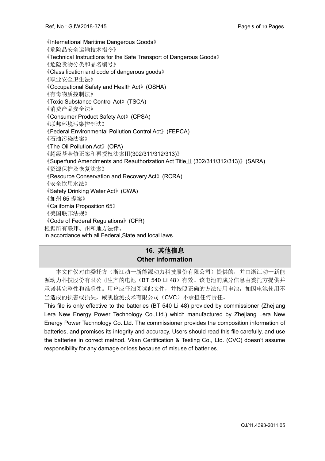《International Maritime Dangerous Goods》 《危险品安全运输技术指令》 《Technical Instructions for the Safe Transport of Dangerous Goods》 《危险货物分类和品名编号》 《Classification and code of dangerous goods》 《职业安全卫生法》 《Occupational Safety and Health Act》(OSHA) 《有毒物质控制法》 《Toxic Substance Control Act》(TSCA) 《消费产品安全法》 《Consumer Product Safety Act》(CPSA) 《联邦环境污染控制法》 《Federal Environmental Pollution Control Act》(FEPCA) 《石油污染法案》 《The Oil Pollution Act》(OPA) 《超级基金修正案和再授权法案Ⅲ(302/311/312/313)》 《Superfund Amendments and Reauthorization Act TitleⅢ (302/311/312/313)》(SARA) 《资源保护及恢复法案》 《Resource Conservation and Recovery Act》(RCRA) 《安全饮用水法》 《Safety Drinking Water Act》(CWA) 《加州 65 提案》 《California Proposition 65》 《美国联邦法规》 《Code of Federal Regulations》(CFR) 根据所有联邦、州和地方法律。 In accordance with all Federal,State and local laws.

## **16.** 其他信息 **Other information**

本文件仅对由委托方(浙江动一新能源动力科技股份有限公司)提供的,并由浙江动一新能 源动力科技股份有限公司生产的电池(BT 540 Li 48)有效。该电池的成分信息由委托方提供并 承诺其完整性和准确性。用户应仔细阅读此文件,并按照正确的方法使用电池,如因电池使用不 当造成的损害或损失,威凯检测技术有限公司(CVC)不承担任何责任。

This file is only effective to the batteries (BT 540 Li 48) provided by commissioner (Zhejiang Lera New Energy Power Technology Co.,Ltd.) which manufactured by Zhejiang Lera New Energy Power Technology Co.,Ltd. The commissioner provides the composition information of batteries, and promises its integrity and accuracy. Users should read this file carefully, and use the batteries in correct method. Vkan Certification & Testing Co., Ltd. (CVC) doesn't assume responsibility for any damage or loss because of misuse of batteries.